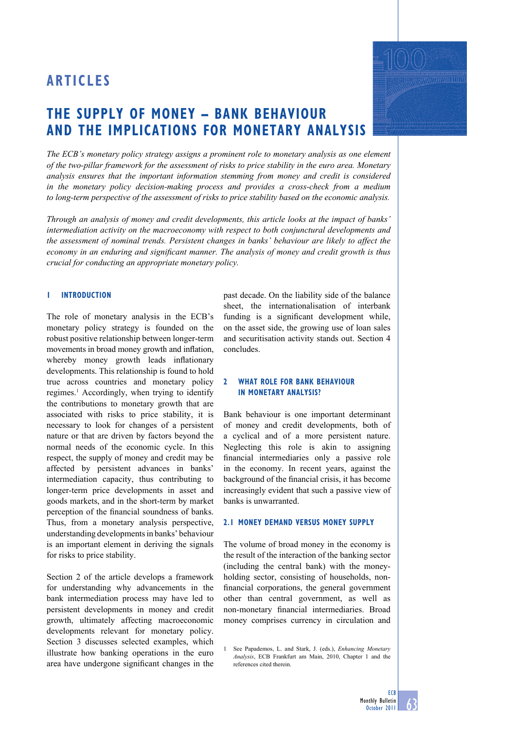# **The Supply of Money – bank BEhaviour and the Implications for monetary analysis**

*The ECB's monetary policy strategy assigns a prominent role to monetary analysis as one element of the two-pillar framework for the assessment of risks to price stability in the euro area. Monetary analysis ensures that the important information stemming from money and credit is considered in the monetary policy decision-making process and provides a cross-check from a medium to long-term perspective of the assessment of risks to price stability based on the economic analysis.* 

*Through an analysis of money and credit developments, this article looks at the impact of banks' intermediation activity on the macroeconomy with respect to both conjunctural developments and the assessment of nominal trends. Persistent changes in banks' behaviour are likely to affect the economy in an enduring and significant manner. The analysis of money and credit growth is thus crucial for conducting an appropriate monetary policy.*

## **1 Introduction**

The role of monetary analysis in the ECB's monetary policy strategy is founded on the robust positive relationship between longer-term movements in broad money growth and inflation, whereby money growth leads inflationary developments. This relationship is found to hold true across countries and monetary policy regimes.<sup>1</sup> Accordingly, when trying to identify the contributions to monetary growth that are associated with risks to price stability, it is necessary to look for changes of a persistent nature or that are driven by factors beyond the normal needs of the economic cycle. In this respect, the supply of money and credit may be affected by persistent advances in banks' intermediation capacity, thus contributing to longer-term price developments in asset and goods markets, and in the short-term by market perception of the financial soundness of banks. Thus, from a monetary analysis perspective, understanding developments in banks' behaviour is an important element in deriving the signals for risks to price stability.

Section 2 of the article develops a framework for understanding why advancements in the bank intermediation process may have led to persistent developments in money and credit growth, ultimately affecting macroeconomic developments relevant for monetary policy. Section 3 discusses selected examples, which illustrate how banking operations in the euro area have undergone significant changes in the

past decade. On the liability side of the balance sheet, the internationalisation of interbank funding is a significant development while, on the asset side, the growing use of loan sales and securitisation activity stands out. Section 4 concludes.

## **2 What role for bank behaviour in monetary analysis?**

Bank behaviour is one important determinant of money and credit developments, both of a cyclical and of a more persistent nature. Neglecting this role is akin to assigning financial intermediaries only a passive role in the economy. In recent years, against the background of the financial crisis, it has become increasingly evident that such a passive view of banks is unwarranted.

# **2.1 Money demand versus money supply**

The volume of broad money in the economy is the result of the interaction of the banking sector (including the central bank) with the moneyholding sector, consisting of households, nonfinancial corporations, the general government other than central government, as well as non-monetary financial intermediaries. Broad money comprises currency in circulation and

1 See Papademos, L. and Stark, J. (eds.), *Enhancing Monetary Analysis*, ECB Frankfurt am Main, 2010, Chapter 1 and the references cited therein.

**ECB** 

**WANNATTER**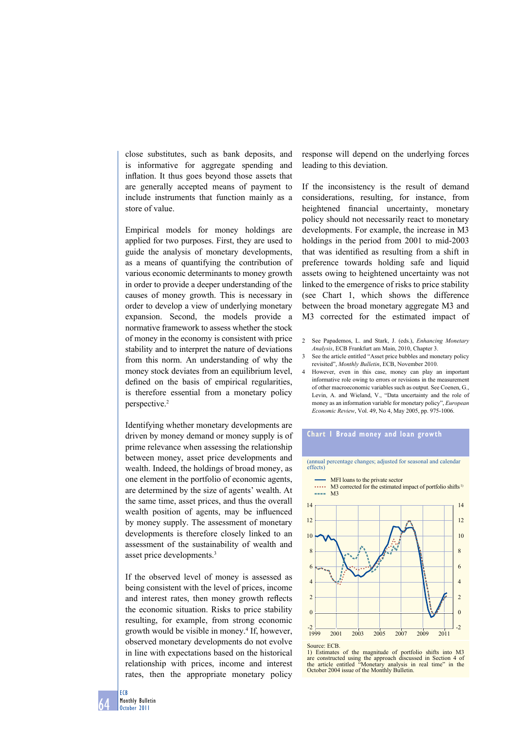close substitutes, such as bank deposits, and is informative for aggregate spending and inflation. It thus goes beyond those assets that are generally accepted means of payment to include instruments that function mainly as a store of value.

Empirical models for money holdings are applied for two purposes. First, they are used to guide the analysis of monetary developments, as a means of quantifying the contribution of various economic determinants to money growth in order to provide a deeper understanding of the causes of money growth. This is necessary in order to develop a view of underlying monetary expansion. Second, the models provide a normative framework to assess whether the stock of money in the economy is consistent with price stability and to interpret the nature of deviations from this norm. An understanding of why the money stock deviates from an equilibrium level, defined on the basis of empirical regularities, is therefore essential from a monetary policy perspective.2

Identifying whether monetary developments are driven by money demand or money supply is of prime relevance when assessing the relationship between money, asset price developments and wealth. Indeed, the holdings of broad money, as one element in the portfolio of economic agents, are determined by the size of agents' wealth. At the same time, asset prices, and thus the overall wealth position of agents, may be influenced by money supply. The assessment of monetary developments is therefore closely linked to an assessment of the sustainability of wealth and asset price developments.3

If the observed level of money is assessed as being consistent with the level of prices, income and interest rates, then money growth reflects the economic situation. Risks to price stability resulting, for example, from strong economic growth would be visible in money.4 If, however, observed monetary developments do not evolve in line with expectations based on the historical relationship with prices, income and interest rates, then the appropriate monetary policy

response will depend on the underlying forces leading to this deviation.

If the inconsistency is the result of demand considerations, resulting, for instance, from heightened financial uncertainty, monetary policy should not necessarily react to monetary developments. For example, the increase in M3 holdings in the period from 2001 to mid-2003 that was identified as resulting from a shift in preference towards holding safe and liquid assets owing to heightened uncertainty was not linked to the emergence of risks to price stability (see Chart 1, which shows the difference between the broad monetary aggregate M3 and M3 corrected for the estimated impact of

- 2 See Papademos, L. and Stark, J. (eds.), *Enhancing Monetary Analysis*, ECB Frankfurt am Main, 2010, Chapter 3.
- 3 See the article entitled "Asset price bubbles and monetary policy revisited", *Monthly Bulletin*, ECB, November 2010.
- 4 however, even in this case, money can play an important informative role owing to errors or revisions in the measurement of other macroeconomic variables such as output. See Coenen, G., Levin, A. and Wieland, V., "Data uncertainty and the role of money as an information variable for monetary policy", *European Economic Review*, Vol. 49, No 4, May 2005, pp. 975-1006.

#### **chart 1 broad money and loan growth**

(annual percentage changes; adjusted for seasonal and calendar effects)



Source: ECB.

Estimates of the magnitude of portfolio shifts into M3 are constructed using the approach discussed in Section 4 of the article entitled "Monetary analysis in real time" in the October 2004 issue of the Monthly Bulletin.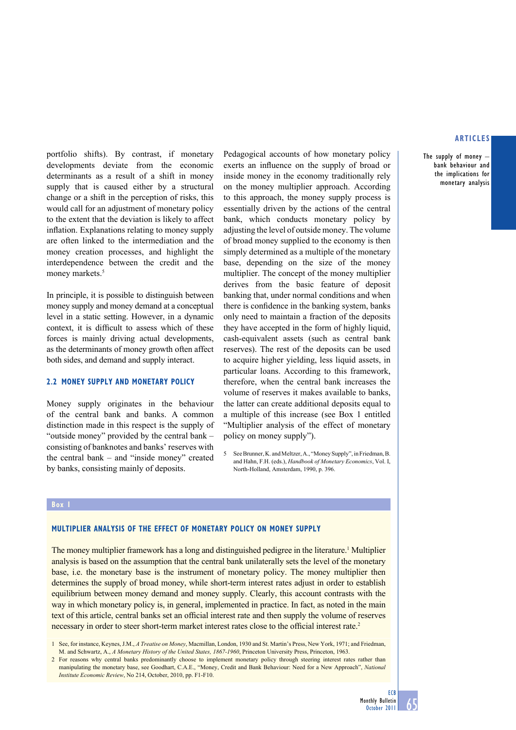The supply of money  $$ bank behaviour and the implications for monetary analysis

portfolio shifts). By contrast, if monetary developments deviate from the economic determinants as a result of a shift in money supply that is caused either by a structural change or a shift in the perception of risks, this would call for an adjustment of monetary policy to the extent that the deviation is likely to affect inflation. Explanations relating to money supply are often linked to the intermediation and the money creation processes, and highlight the interdependence between the credit and the money markets.<sup>5</sup>

In principle, it is possible to distinguish between money supply and money demand at a conceptual level in a static setting. However, in a dynamic context, it is difficult to assess which of these forces is mainly driving actual developments, as the determinants of money growth often affect both sides, and demand and supply interact.

### **2.2 Money Supply and Monetary policy**

Money supply originates in the behaviour of the central bank and banks. A common distinction made in this respect is the supply of "outside money" provided by the central bank – consisting of banknotes and banks' reserves with the central bank – and "inside money" created by banks, consisting mainly of deposits.

Pedagogical accounts of how monetary policy exerts an influence on the supply of broad or inside money in the economy traditionally rely on the money multiplier approach. According to this approach, the money supply process is essentially driven by the actions of the central bank, which conducts monetary policy by adjusting the level of outside money. The volume of broad money supplied to the economy is then simply determined as a multiple of the monetary base, depending on the size of the money multiplier. The concept of the money multiplier derives from the basic feature of deposit banking that, under normal conditions and when there is confidence in the banking system, banks only need to maintain a fraction of the deposits they have accepted in the form of highly liquid, cash-equivalent assets (such as central bank reserves). The rest of the deposits can be used to acquire higher yielding, less liquid assets, in particular loans. According to this framework, therefore, when the central bank increases the volume of reserves it makes available to banks, the latter can create additional deposits equal to a multiple of this increase (see Box 1 entitled "Multiplier analysis of the effect of monetary policy on money supply").

5 See Brunner, K. and Meltzer, A., "Money Supply", in Friedman, B. and Hahn, F.H. (eds.), *Handbook of Monetary Economics*, Vol. I, North-Holland, Amsterdam, 1990, p. 396.

#### **Box 1**

# **Multiplier analysis of the effect of monetary policy on money supply**

The money multiplier framework has a long and distinguished pedigree in the literature.<sup>1</sup> Multiplier analysis is based on the assumption that the central bank unilaterally sets the level of the monetary base, i.e. the monetary base is the instrument of monetary policy. The money multiplier then determines the supply of broad money, while short-term interest rates adjust in order to establish equilibrium between money demand and money supply. Clearly, this account contrasts with the way in which monetary policy is, in general, implemented in practice. In fact, as noted in the main text of this article, central banks set an official interest rate and then supply the volume of reserves necessary in order to steer short-term market interest rates close to the official interest rate.<sup>2</sup>

1 See, for instance, Keynes, J.M., *A Treatise on Money*, Macmillan, London, 1930 and St. Martin's Press, New York, 1971; and Friedman, M. and Schwartz, A., *A Monetary History of the United States, 1867-1960*, Princeton University Press, Princeton, 1963.

2 For reasons why central banks predominantly choose to implement monetary policy through steering interest rates rather than manipulating the monetary base, see Goodhart, C.A.E., "Money, Credit and Bank Behaviour: Need for a New Approach", *National Institute Economic Review*, No 214, October, 2010, pp. F1-F10.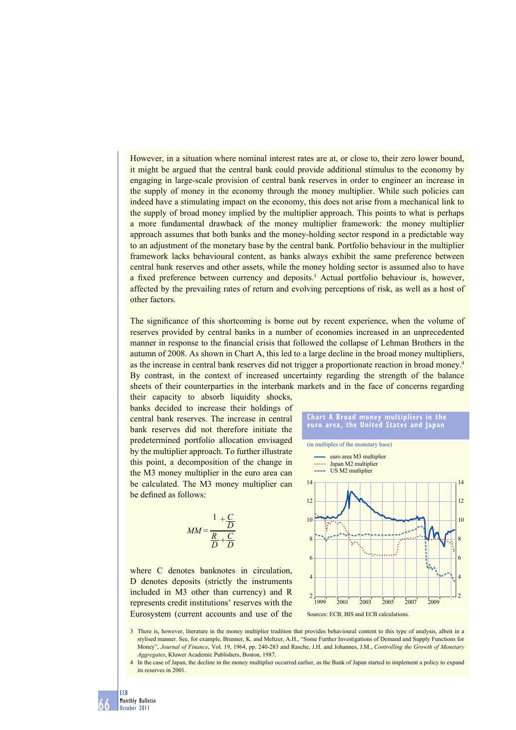however, in a situation where nominal interest rates are at, or close to, their zero lower bound, it might be argued that the central bank could provide additional stimulus to the economy by engaging in large-scale provision of central bank reserves in order to engineer an increase in the supply of money in the economy through the money multiplier. While such policies can indeed have a stimulating impact on the economy, this does not arise from a mechanical link to the supply of broad money implied by the multiplier approach. This points to what is perhaps a more fundamental drawback of the money multiplier framework: the money multiplier approach assumes that both banks and the money-holding sector respond in a predictable way to an adjustment of the monetary base by the central bank. Portfolio behaviour in the multiplier framework lacks behavioural content, as banks always exhibit the same preference between central bank reserves and other assets, while the money holding sector is assumed also to have a fixed preference between currency and deposits.<sup>3</sup> Actual portfolio behaviour is, however, affected by the prevailing rates of return and evolving perceptions of risk, as well as a host of other factors.

The significance of this shortcoming is borne out by recent experience, when the volume of reserves provided by central banks in a number of economies increased in an unprecedented manner in response to the financial crisis that followed the collapse of Lehman Brothers in the autumn of 2008. As shown in Chart A, this led to a large decline in the broad money multipliers, as the increase in central bank reserves did not trigger a proportionate reaction in broad money.4 By contrast, in the context of increased uncertainty regarding the strength of the balance sheets of their counterparties in the interbank markets and in the face of concerns regarding

their capacity to absorb liquidity shocks, banks decided to increase their holdings of central bank reserves. The increase in central bank reserves did not therefore initiate the predetermined portfolio allocation envisaged by the multiplier approach. To further illustrate this point, a decomposition of the change in the M3 money multiplier in the euro area can be calculated. The M3 money multiplier can be defined as follows:

$$
MM = \frac{1 + \frac{C}{D}}{\frac{R}{D} + \frac{C}{D}}
$$

where C denotes banknotes in circulation, D denotes deposits (strictly the instruments included in M3 other than currency) and R represents credit institutions' reserves with the Eurosystem (current accounts and use of the



3 There is, however, literature in the money multiplier tradition that provides behavioural content to this type of analysis, albeit in a stylised manner. See, for example, Brunner, K. and Meltzer, A.h., "Some Further Investigations of Demand and Supply Functions for Money", *Journal of Finance*, Vol. 19, 1964, pp. 240-283 and Rasche, J.h. and Johannes, J.M., *Controlling the Growth of Monetary Aggregates*, Kluwer Academic Publishers, Boston, 1987.

4 In the case of Japan, the decline in the money multiplier occurred earlier, as the Bank of Japan started to implement a policy to expand its reserves in 2001.

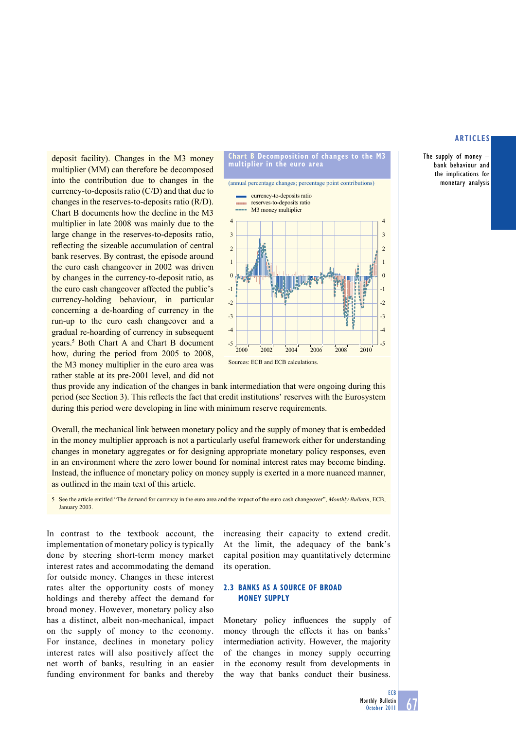The supply of money  $$ bank behaviour and the implications for monetary analysis

deposit facility). Changes in the M3 money multiplier (MM) can therefore be decomposed into the contribution due to changes in the currency-to-deposits ratio (C/D) and that due to changes in the reserves-to-deposits ratio (R/D). Chart B documents how the decline in the M3 multiplier in late 2008 was mainly due to the large change in the reserves-to-deposits ratio, reflecting the sizeable accumulation of central bank reserves. By contrast, the episode around the euro cash changeover in 2002 was driven by changes in the currency-to-deposit ratio, as the euro cash changeover affected the public's currency-holding behaviour, in particular concerning a de-hoarding of currency in the run-up to the euro cash changeover and a gradual re-hoarding of currency in subsequent years.<sup>5</sup> Both Chart A and Chart B document how, during the period from 2005 to 2008, the M3 money multiplier in the euro area was rather stable at its pre-2001 level, and did not



thus provide any indication of the changes in bank intermediation that were ongoing during this period (see Section 3). This reflects the fact that credit institutions' reserves with the Eurosystem during this period were developing in line with minimum reserve requirements.

Overall, the mechanical link between monetary policy and the supply of money that is embedded in the money multiplier approach is not a particularly useful framework either for understanding changes in monetary aggregates or for designing appropriate monetary policy responses, even in an environment where the zero lower bound for nominal interest rates may become binding. Instead, the influence of monetary policy on money supply is exerted in a more nuanced manner, as outlined in the main text of this article.

5 See the article entitled "The demand for currency in the euro area and the impact of the euro cash changeover", *Monthly Bulletin*, ECB, January 2003.

In contrast to the textbook account, the implementation of monetary policy is typically done by steering short-term money market interest rates and accommodating the demand for outside money. Changes in these interest rates alter the opportunity costs of money holdings and thereby affect the demand for broad money. however, monetary policy also has a distinct, albeit non-mechanical, impact on the supply of money to the economy. For instance, declines in monetary policy interest rates will also positively affect the net worth of banks, resulting in an easier funding environment for banks and thereby increasing their capacity to extend credit. At the limit, the adequacy of the bank's capital position may quantitatively determine its operation.

# **2.3 banKs as a source oF broad money supply**

Monetary policy influences the supply of money through the effects it has on banks' intermediation activity. however, the majority of the changes in money supply occurring in the economy result from developments in the way that banks conduct their business.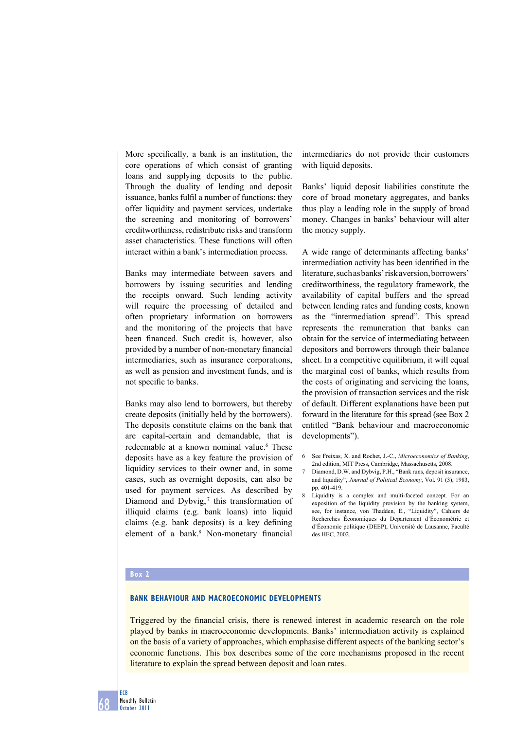More specifically, a bank is an institution, the core operations of which consist of granting loans and supplying deposits to the public. Through the duality of lending and deposit issuance, banks fulfil a number of functions: they offer liquidity and payment services, undertake the screening and monitoring of borrowers' creditworthiness, redistribute risks and transform asset characteristics. These functions will often interact within a bank's intermediation process.

Banks may intermediate between savers and borrowers by issuing securities and lending the receipts onward. Such lending activity will require the processing of detailed and often proprietary information on borrowers and the monitoring of the projects that have been financed. Such credit is, however, also provided by a number of non-monetary financial intermediaries, such as insurance corporations, as well as pension and investment funds, and is not specific to banks.

Banks may also lend to borrowers, but thereby create deposits (initially held by the borrowers). The deposits constitute claims on the bank that are capital-certain and demandable, that is redeemable at a known nominal value.<sup>6</sup> These deposits have as a key feature the provision of liquidity services to their owner and, in some cases, such as overnight deposits, can also be used for payment services. As described by Diamond and Dybvig,<sup>7</sup> this transformation of illiquid claims (e.g. bank loans) into liquid claims (e.g. bank deposits) is a key defining element of a bank.8 Non-monetary financial

intermediaries do not provide their customers with liquid deposits.

Banks' liquid deposit liabilities constitute the core of broad monetary aggregates, and banks thus play a leading role in the supply of broad money. Changes in banks' behaviour will alter the money supply.

A wide range of determinants affecting banks' intermediation activity has been identified in the literature, such as banks' risk aversion, borrowers' creditworthiness, the regulatory framework, the availability of capital buffers and the spread between lending rates and funding costs, known as the "intermediation spread". This spread represents the remuneration that banks can obtain for the service of intermediating between depositors and borrowers through their balance sheet. In a competitive equilibrium, it will equal the marginal cost of banks, which results from the costs of originating and servicing the loans, the provision of transaction services and the risk of default. Different explanations have been put forward in the literature for this spread (see Box 2 entitled "Bank behaviour and macroeconomic developments").

- 6 See Freixas, X. and Rochet, J.-C., *Microeconomics of Banking*, 2nd edition, MIT Press, Cambridge, Massachusetts, 2008.
- 7 Diamond, D.W. and Dybvig, P.H., "Bank runs, deposit insurance, and liquidity", *Journal of Political Economy*, Vol. 91 (3), 1983, pp. 401-419.
- 8 Liquidity is a complex and multi-faceted concept. For an exposition of the liquidity provision by the banking system, see, for instance, von Thadden, E., "Liquidity", Cahiers de Recherches Économiques du Departement d'Économétrie et d'Économie politique (DEEP), Université de Lausanne, Faculté  $\overline{de}$  HEC, 2002.

## **Box 2**

#### **Bank behaviour and macroeconomic developments**

Triggered by the financial crisis, there is renewed interest in academic research on the role played by banks in macroeconomic developments. Banks' intermediation activity is explained on the basis of a variety of approaches, which emphasise different aspects of the banking sector's economic functions. This box describes some of the core mechanisms proposed in the recent literature to explain the spread between deposit and loan rates.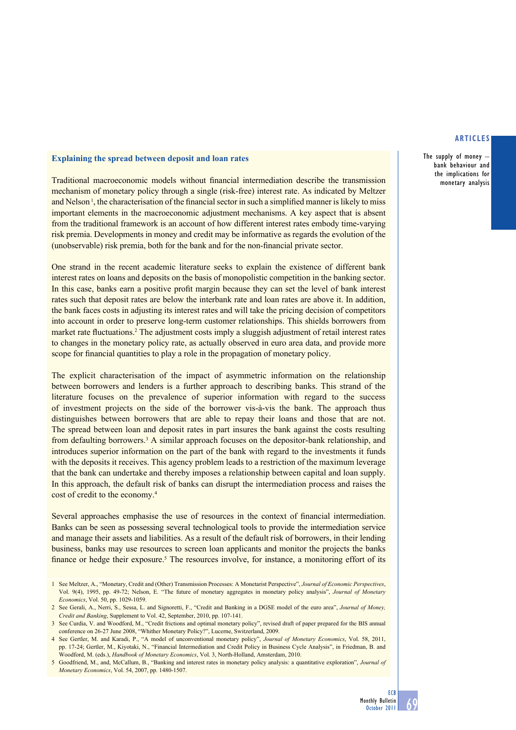The supply of money  $$ bank behaviour and the implications for monetary analysis

# **Explaining the spread between deposit and loan rates**

Traditional macroeconomic models without financial intermediation describe the transmission mechanism of monetary policy through a single (risk-free) interest rate. As indicated by Meltzer and Nelson<sup>1</sup>, the characterisation of the financial sector in such a simplified manner is likely to miss important elements in the macroeconomic adjustment mechanisms. A key aspect that is absent from the traditional framework is an account of how different interest rates embody time-varying risk premia. Developments in money and credit may be informative as regards the evolution of the (unobservable) risk premia, both for the bank and for the non-financial private sector.

One strand in the recent academic literature seeks to explain the existence of different bank interest rates on loans and deposits on the basis of monopolistic competition in the banking sector. In this case, banks earn a positive profit margin because they can set the level of bank interest rates such that deposit rates are below the interbank rate and loan rates are above it. In addition, the bank faces costs in adjusting its interest rates and will take the pricing decision of competitors into account in order to preserve long-term customer relationships. This shields borrowers from market rate fluctuations.<sup>2</sup> The adjustment costs imply a sluggish adjustment of retail interest rates to changes in the monetary policy rate, as actually observed in euro area data, and provide more scope for financial quantities to play a role in the propagation of monetary policy.

The explicit characterisation of the impact of asymmetric information on the relationship between borrowers and lenders is a further approach to describing banks. This strand of the literature focuses on the prevalence of superior information with regard to the success of investment projects on the side of the borrower vis-à-vis the bank. The approach thus distinguishes between borrowers that are able to repay their loans and those that are not. The spread between loan and deposit rates in part insures the bank against the costs resulting from defaulting borrowers.<sup>3</sup> A similar approach focuses on the depositor-bank relationship, and introduces superior information on the part of the bank with regard to the investments it funds with the deposits it receives. This agency problem leads to a restriction of the maximum leverage that the bank can undertake and thereby imposes a relationship between capital and loan supply. In this approach, the default risk of banks can disrupt the intermediation process and raises the cost of credit to the economy.4

Several approaches emphasise the use of resources in the context of financial intermediation. Banks can be seen as possessing several technological tools to provide the intermediation service and manage their assets and liabilities. As a result of the default risk of borrowers, in their lending business, banks may use resources to screen loan applicants and monitor the projects the banks finance or hedge their exposure.<sup>5</sup> The resources involve, for instance, a monitoring effort of its

<sup>1</sup> See Meltzer, A., "Monetary, Credit and (Other) Transmission Processes: A Monetarist Perspective", *Journal of Economic Perspectives*, Vol. 9(4), 1995, pp. 49-72; Nelson, E. "The future of monetary aggregates in monetary policy analysis", *Journal of Monetary Economics*, Vol. 50, pp. 1029-1059.

<sup>2</sup> See Gerali, A., Nerri, S., Sessa, L. and Signoretti, F., "Credit and Banking in a DGSE model of the euro area", *Journal of Money, Credit and Banking*, Supplement to Vol. 42, September, 2010, pp. 107-141.

<sup>3</sup> See Curdia, V. and Woodford, M., "Credit frictions and optimal monetary policy", revised draft of paper prepared for the BIS annual conference on 26-27 June 2008, "Whither Monetary Policy?", Lucerne, Switzerland, 2009.

<sup>4</sup> See Gertler, M. and Karadi, P., "A model of unconventional monetary policy", *Journal of Monetary Economics*, Vol. 58, 2011, pp. 17-24; Gertler, M., Kiyotaki, N., "Financial Intermediation and Credit Policy in Business Cycle Analysis", in Friedman, B. and Woodford, M. (eds.), *Handbook of Monetary Economics*, Vol. 3, North-Holland, Amsterdam, 2010.

<sup>5</sup> Goodfriend, M., and, McCallum, B., "Banking and interest rates in monetary policy analysis: a quantitative exploration", *Journal of Monetary Economics*, Vol. 54, 2007, pp. 1480-1507.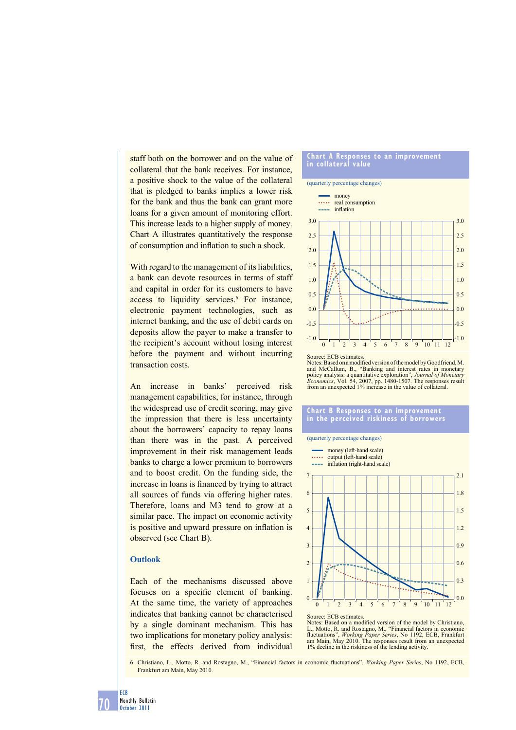staff both on the borrower and on the value of collateral that the bank receives. For instance, a positive shock to the value of the collateral that is pledged to banks implies a lower risk for the bank and thus the bank can grant more loans for a given amount of monitoring effort. This increase leads to a higher supply of money. Chart A illustrates quantitatively the response of consumption and inflation to such a shock.

With regard to the management of its liabilities, a bank can devote resources in terms of staff and capital in order for its customers to have access to liquidity services.<sup>6</sup> For instance, electronic payment technologies, such as internet banking, and the use of debit cards on deposits allow the payer to make a transfer to the recipient's account without losing interest before the payment and without incurring transaction costs.

An increase in banks' perceived risk management capabilities, for instance, through the widespread use of credit scoring, may give the impression that there is less uncertainty about the borrowers' capacity to repay loans than there was in the past. A perceived improvement in their risk management leads banks to charge a lower premium to borrowers and to boost credit. On the funding side, the increase in loans is financed by trying to attract all sources of funds via offering higher rates. Therefore, loans and M3 tend to grow at a similar pace. The impact on economic activity is positive and upward pressure on inflation is observed (see Chart B).

# **Outlook**

Each of the mechanisms discussed above focuses on a specific element of banking. At the same time, the variety of approaches indicates that banking cannot be characterised by a single dominant mechanism. This has two implications for monetary policy analysis: first, the effects derived from individual

#### **chart a responses to an improvement in collateral value**





Notes: Based on a modified version of the model by Goodfriend, M. and McCallum, B., "Banking and interest rates in monetary policy analysis: a quantitative exploration", *Journal of Monetary Economics*, Vol. 54, 2007, pp. 1480-1507. The responses result from an unexpected 1% increase in the value of collateral.

#### **chart b responses to an improvement in the perceived riskiness of borrowers**



Source: ECB estimates<br>Notes: Based on a mod Records: Based on a modified version of the model by Christiano, L., Motto, R. and Rostagno, M., "Financial factors in economic fluctuations", *Working Paper Series*, No 1192, ECB, Frankfurt am Main, May 2010. The responses result from an unexpected 1% decline in the riskiness of the lending activity.

6 Christiano, L., Motto, R. and Rostagno, M., "Financial factors in economic fl uctuations", *Working Paper Series*, No 1192, ECB, Frankfurt am Main, May 2010.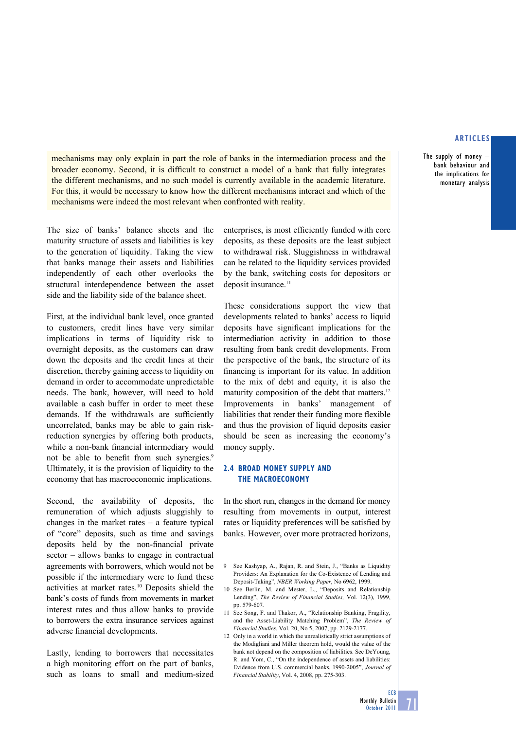The supply of money – bank behaviour and the implications for monetary analysis

mechanisms may only explain in part the role of banks in the intermediation process and the broader economy. Second, it is difficult to construct a model of a bank that fully integrates the different mechanisms, and no such model is currently available in the academic literature. For this, it would be necessary to know how the different mechanisms interact and which of the mechanisms were indeed the most relevant when confronted with reality.

The size of banks' balance sheets and the maturity structure of assets and liabilities is key to the generation of liquidity. Taking the view that banks manage their assets and liabilities independently of each other overlooks the structural interdependence between the asset side and the liability side of the balance sheet.

First, at the individual bank level, once granted to customers, credit lines have very similar implications in terms of liquidity risk to overnight deposits, as the customers can draw down the deposits and the credit lines at their discretion, thereby gaining access to liquidity on demand in order to accommodate unpredictable needs. The bank, however, will need to hold available a cash buffer in order to meet these demands. If the withdrawals are sufficiently uncorrelated, banks may be able to gain riskreduction synergies by offering both products, while a non-bank financial intermediary would not be able to benefit from such synergies.<sup>9</sup> Ultimately, it is the provision of liquidity to the economy that has macroeconomic implications.

Second, the availability of deposits, the remuneration of which adjusts sluggishly to changes in the market rates – a feature typical of "core" deposits, such as time and savings deposits held by the non-financial private sector – allows banks to engage in contractual agreements with borrowers, which would not be possible if the intermediary were to fund these activities at market rates.10 Deposits shield the bank's costs of funds from movements in market interest rates and thus allow banks to provide to borrowers the extra insurance services against adverse financial developments.

Lastly, lending to borrowers that necessitates a high monitoring effort on the part of banks, such as loans to small and medium-sized

enterprises, is most efficiently funded with core deposits, as these deposits are the least subject to withdrawal risk. Sluggishness in withdrawal can be related to the liquidity services provided by the bank, switching costs for depositors or deposit insurance.<sup>11</sup>

These considerations support the view that developments related to banks' access to liquid deposits have significant implications for the intermediation activity in addition to those resulting from bank credit developments. From the perspective of the bank, the structure of its financing is important for its value. In addition to the mix of debt and equity, it is also the maturity composition of the debt that matters.<sup>12</sup> Improvements in banks' management of liabilities that render their funding more flexible and thus the provision of liquid deposits easier should be seen as increasing the economy's money supply.

# **2.4 Broad money supply and the macroeconomy**

In the short run, changes in the demand for money resulting from movements in output, interest rates or liquidity preferences will be satisfied by banks. However, over more protracted horizons,

- 11 See Song, F. and Thakor, A., "Relationship Banking, Fragility, and the Asset-Liability Matching Problem", *The Review of Financial Studies*, Vol. 20, No 5, 2007, pp. 2129-2177.
- 12 Only in a world in which the unrealistically strict assumptions of the Modigliani and Miller theorem hold, would the value of the bank not depend on the composition of liabilities. See DeYoung, R. and Yom, C., "On the independence of assets and liabilities: Evidence from U.S. commercial banks, 1990-2005", *Journal of Financial Stability*, Vol. 4, 2008, pp. 275-303.

71

<sup>9</sup> See Kashyap, A., Rajan, R. and Stein, J., "Banks as Liquidity Providers: An Explanation for the Co-Existence of Lending and Deposit-Taking", *NBER Working Paper*, No 6962, 1999.

<sup>10</sup> See Berlin, M. and Mester, L., "Deposits and Relationship Lending", *The Review of Financial Studies,* Vol. 12(3), 1999, pp. 579-607*.*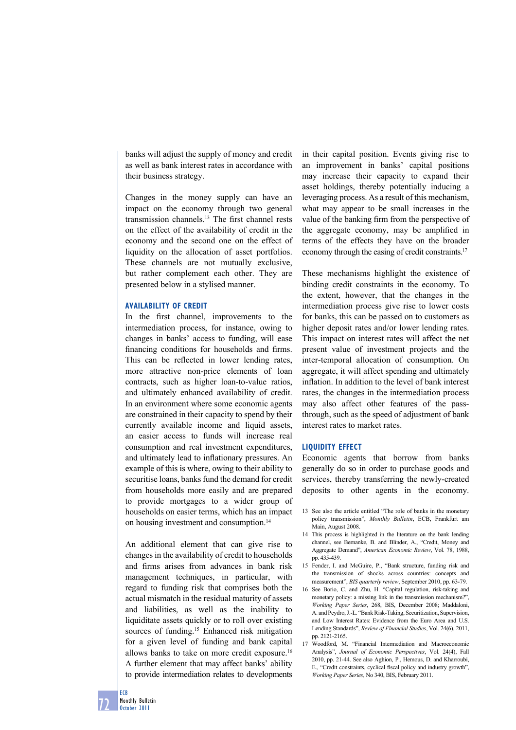banks will adjust the supply of money and credit as well as bank interest rates in accordance with their business strategy.

Changes in the money supply can have an impact on the economy through two general transmission channels.13 The first channel rests on the effect of the availability of credit in the economy and the second one on the effect of liquidity on the allocation of asset portfolios. These channels are not mutually exclusive, but rather complement each other. They are presented below in a stylised manner.

#### **Availability of credit**

In the first channel, improvements to the intermediation process, for instance, owing to changes in banks' access to funding, will ease financing conditions for households and firms. This can be reflected in lower lending rates, more attractive non-price elements of loan contracts, such as higher loan-to-value ratios, and ultimately enhanced availability of credit. In an environment where some economic agents are constrained in their capacity to spend by their currently available income and liquid assets, an easier access to funds will increase real consumption and real investment expenditures, and ultimately lead to inflationary pressures. An example of this is where, owing to their ability to securitise loans, banks fund the demand for credit from households more easily and are prepared to provide mortgages to a wider group of households on easier terms, which has an impact on housing investment and consumption.14

An additional element that can give rise to changes in the availability of credit to households and firms arises from advances in bank risk management techniques, in particular, with regard to funding risk that comprises both the actual mismatch in the residual maturity of assets and liabilities, as well as the inability to liquiditate assets quickly or to roll over existing sources of funding.<sup>15</sup> Enhanced risk mitigation for a given level of funding and bank capital allows banks to take on more credit exposure.16 A further element that may affect banks' ability to provide intermediation relates to developments

in their capital position. Events giving rise to an improvement in banks' capital positions may increase their capacity to expand their asset holdings, thereby potentially inducing a leveraging process. As a result of this mechanism, what may appear to be small increases in the value of the banking firm from the perspective of the aggregate economy, may be amplified in terms of the effects they have on the broader economy through the easing of credit constraints.17

These mechanisms highlight the existence of binding credit constraints in the economy. To the extent, however, that the changes in the intermediation process give rise to lower costs for banks, this can be passed on to customers as higher deposit rates and/or lower lending rates. This impact on interest rates will affect the net present value of investment projects and the inter-temporal allocation of consumption. On aggregate, it will affect spending and ultimately inflation. In addition to the level of bank interest rates, the changes in the intermediation process may also affect other features of the passthrough, such as the speed of adjustment of bank interest rates to market rates.

#### **Liquidity effect**

Economic agents that borrow from banks generally do so in order to purchase goods and services, thereby transferring the newly-created deposits to other agents in the economy.

- 14 This process is highlighted in the literature on the bank lending channel, see Bernanke, B. and Blinder, A., "Credit, Money and Aggregate Demand", *American Economic Review*, Vol. 78, 1988, pp. 435-439.
- 15 Fender, I. and McGuire, P., "Bank structure, funding risk and the transmission of shocks across countries: concepts and measurement", *BIS quarterly review*, September 2010, pp. 63-79.
- 16 See Borio, C. and Zhu, H. "Capital regulation, risk-taking and monetary policy: a missing link in the transmission mechanism?", *Working Paper Series*, 268, BIS, December 2008; Maddaloni, A. and Peydro, J.-L. "Bank Risk-Taking, Securitization, Supervision, and Low Interest Rates: Evidence from the Euro Area and U.S. Lending Standards", *Review of Financial Studies*, Vol. 24(6), 2011, pp. 2121-2165.
- 17 Woodford, M. "Financial Intermediation and Macroeconomic Analysis", *Journal of Economic Perspectives*, Vol. 24(4), Fall 2010, pp. 21-44. See also Aghion, P., Hemous, D. and Kharroubi, E., "Credit constraints, cyclical fiscal policy and industry growth", *Working Paper Series*, No 340, BIS, February 2011.

ECB

<sup>13</sup> See also the article entitled "The role of banks in the monetary policy transmission", *Monthly Bulletin*, ECB, Frankfurt am Main, August 2008.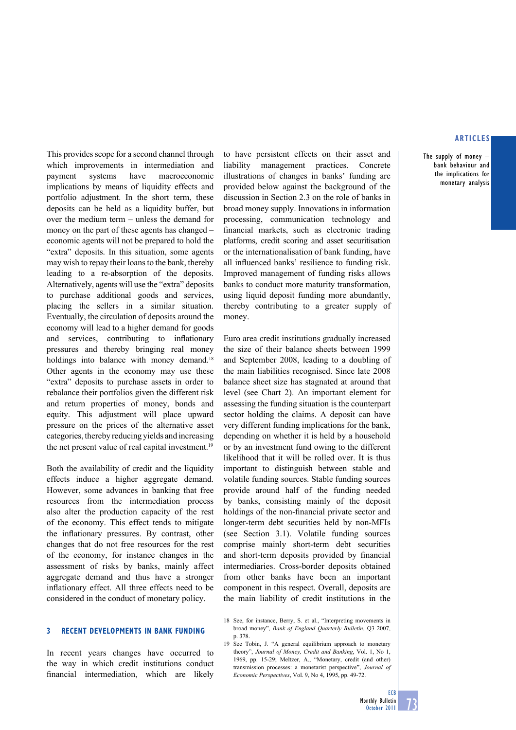The supply of money  $$ bank behaviour and the implications for monetary analysis

This provides scope for a second channel through which improvements in intermediation and payment systems have macroeconomic implications by means of liquidity effects and portfolio adjustment. In the short term, these deposits can be held as a liquidity buffer, but over the medium term – unless the demand for money on the part of these agents has changed – economic agents will not be prepared to hold the "extra" deposits. In this situation, some agents may wish to repay their loans to the bank, thereby leading to a re-absorption of the deposits. Alternatively, agents will use the "extra" deposits to purchase additional goods and services, placing the sellers in a similar situation. Eventually, the circulation of deposits around the economy will lead to a higher demand for goods and services, contributing to inflationary pressures and thereby bringing real money holdings into balance with money demand.<sup>18</sup> Other agents in the economy may use these "extra" deposits to purchase assets in order to rebalance their portfolios given the different risk and return properties of money, bonds and equity. This adjustment will place upward pressure on the prices of the alternative asset categories, thereby reducing yields and increasing the net present value of real capital investment.<sup>19</sup>

Both the availability of credit and the liquidity effects induce a higher aggregate demand. However, some advances in banking that free resources from the intermediation process also alter the production capacity of the rest of the economy. This effect tends to mitigate the inflationary pressures. By contrast, other changes that do not free resources for the rest of the economy, for instance changes in the assessment of risks by banks, mainly affect aggregate demand and thus have a stronger inflationary effect. All three effects need to be considered in the conduct of monetary policy.

# **3 Recent developments in bank Funding**

In recent years changes have occurred to the way in which credit institutions conduct financial intermediation, which are likely

to have persistent effects on their asset and liability management practices. Concrete illustrations of changes in banks' funding are provided below against the background of the discussion in Section 2.3 on the role of banks in broad money supply. Innovations in information processing, communication technology and financial markets, such as electronic trading platforms, credit scoring and asset securitisation or the internationalisation of bank funding, have all influenced banks' resilience to funding risk. Improved management of funding risks allows banks to conduct more maturity transformation, using liquid deposit funding more abundantly, thereby contributing to a greater supply of money.

Euro area credit institutions gradually increased the size of their balance sheets between 1999 and September 2008, leading to a doubling of the main liabilities recognised. Since late 2008 balance sheet size has stagnated at around that level (see Chart 2). An important element for assessing the funding situation is the counterpart sector holding the claims. A deposit can have very different funding implications for the bank, depending on whether it is held by a household or by an investment fund owing to the different likelihood that it will be rolled over. It is thus important to distinguish between stable and volatile funding sources. Stable funding sources provide around half of the funding needed by banks, consisting mainly of the deposit holdings of the non-financial private sector and longer-term debt securities held by non-MFIs (see Section 3.1). Volatile funding sources comprise mainly short-term debt securities and short-term deposits provided by financial intermediaries. Cross-border deposits obtained from other banks have been an important component in this respect. Overall, deposits are the main liability of credit institutions in the

<sup>18</sup> See, for instance, Berry, S. et al., "Interpreting movements in broad money", *Bank of England Quarterly Bulletin*, Q3 2007, p. 378.

<sup>19</sup> See Tobin, J. "A general equilibrium approach to monetary theory", *Journal of Money, Credit and Banking*, Vol. 1, No 1, 1969, pp. 15-29; Meltzer, A., "Monetary, credit (and other) transmission processes: a monetarist perspective", *Journal of Economic Perspectives*, Vol. 9, No 4, 1995, pp. 49-72.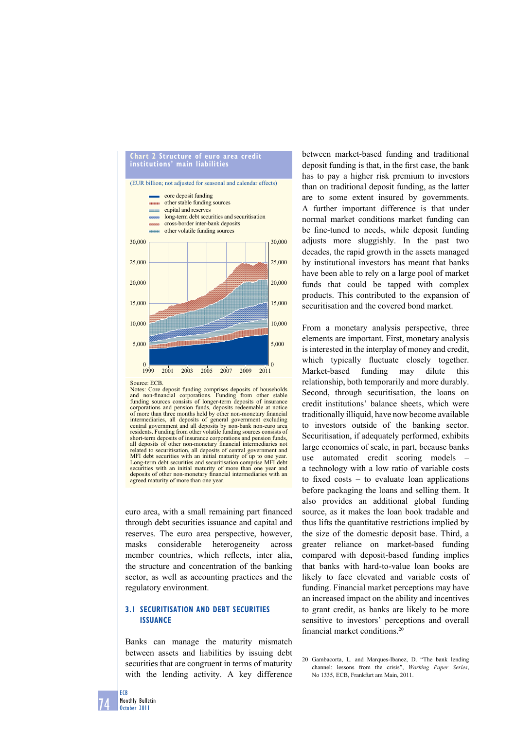

Source: ECB.

Notes: Core deposit funding comprises deposits of households and non-financial corporations. Funding from other stable funding sources consists of longer-term deposits of insurance corporations and pension funds, deposits redeemable at notice of more than three months held by other non-monetary financial intermediaries, all deposits of general government excluding central government and all deposits by non-bank non-euro area residents. Funding from other volatile funding sources consists of short-term deposits of insurance corporations and pension funds, all deposits of other non-monetary financial intermediaries not related to securitisation, all deposits of central government and MFI debt securities with an initial maturity of up to one year. Long-term debt securities and securitisation comprise MFI debt securities with an initial maturity of more than one year and deposits of other non-monetary financial intermediaries with an agreed maturity of more than one year.

euro area, with a small remaining part financed through debt securities issuance and capital and reserves. The euro area perspective, however, masks considerable heterogeneity across member countries, which reflects, inter alia, the structure and concentration of the banking sector, as well as accounting practices and the regulatory environment.

# **3.1 securitisation and debt securities issuance**

Banks can manage the maturity mismatch between assets and liabilities by issuing debt securities that are congruent in terms of maturity with the lending activity. A key difference between market-based funding and traditional deposit funding is that, in the first case, the bank has to pay a higher risk premium to investors than on traditional deposit funding, as the latter are to some extent insured by governments. A further important difference is that under normal market conditions market funding can be fine-tuned to needs, while deposit funding adjusts more sluggishly. In the past two decades, the rapid growth in the assets managed by institutional investors has meant that banks have been able to rely on a large pool of market funds that could be tapped with complex products. This contributed to the expansion of securitisation and the covered bond market.

From a monetary analysis perspective, three elements are important. First, monetary analysis is interested in the interplay of money and credit, which typically fluctuate closely together. Market-based funding may dilute this relationship, both temporarily and more durably. Second, through securitisation, the loans on credit institutions' balance sheets, which were traditionally illiquid, have now become available to investors outside of the banking sector. Securitisation, if adequately performed, exhibits large economies of scale, in part, because banks use automated credit scoring models – a technology with a low ratio of variable costs to fixed costs  $-$  to evaluate loan applications before packaging the loans and selling them. It also provides an additional global funding source, as it makes the loan book tradable and thus lifts the quantitative restrictions implied by the size of the domestic deposit base. Third, a greater reliance on market-based funding compared with deposit-based funding implies that banks with hard-to-value loan books are likely to face elevated and variable costs of funding. Financial market perceptions may have an increased impact on the ability and incentives to grant credit, as banks are likely to be more sensitive to investors' perceptions and overall financial market conditions<sup>20</sup>

ECB

<sup>20</sup> Gambacorta, L. and Marques-Ibanez, D. "The bank lending channel: lessons from the crisis", *Working Paper Series*, No 1335, ECB, Frankfurt am Main, 2011.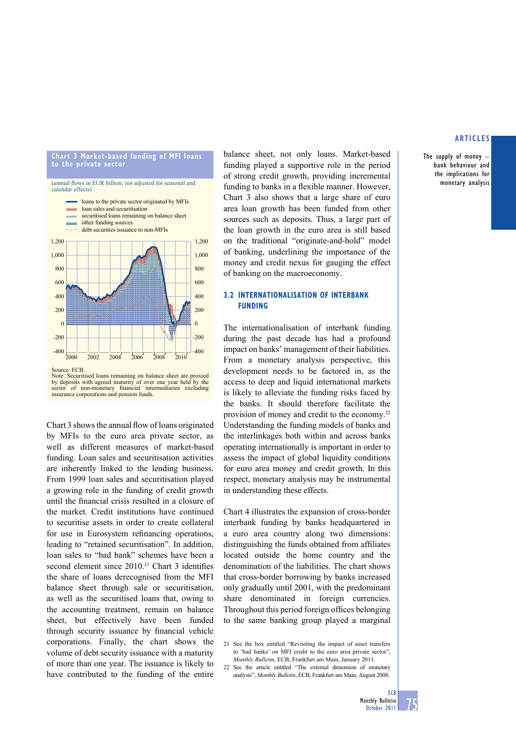#### **chart 3 market-based funding of mFi loans to the private sector**



Source: ECB.

Chart 3 shows the annual flow of loans originated by MFIs to the euro area private sector, as well as different measures of market-based funding. Loan sales and securitisation activities are inherently linked to the lending business. From 1999 loan sales and securitisation played a growing role in the funding of credit growth until the financial crisis resulted in a closure of the market. Credit institutions have continued to securitise assets in order to create collateral for use in Eurosystem refinancing operations, leading to "retained securitisation". In addition, loan sales to "bad bank" schemes have been a second element since  $2010$ .<sup>21</sup> Chart 3 identifies the share of loans derecognised from the MFI balance sheet through sale or securitisation, as well as the securitised loans that, owing to the accounting treatment, remain on balance sheet, but effectively have been funded through security issuance by financial vehicle corporations. Finally, the chart shows the volume of debt security issuance with a maturity of more than one year. The issuance is likely to have contributed to the funding of the entire balance sheet, not only loans. Market-based funding played a supportive role in the period of strong credit growth, providing incremental funding to banks in a flexible manner. However, Chart 3 also shows that a large share of euro area loan growth has been funded from other sources such as deposits. Thus, a large part of the loan growth in the euro area is still based on the traditional "originate-and-hold" model of banking, underlining the importance of the money and credit nexus for gauging the effect of banking on the macroeconomy.

# **3.2 internationalisation oF interbanK FundinG**

The internationalisation of interbank funding during the past decade has had a profound impact on banks' management of their liabilities. From a monetary analysis perspective, this development needs to be factored in, as the access to deep and liquid international markets is likely to alleviate the funding risks faced by the banks. It should therefore facilitate the provision of money and credit to the economy.22 Understanding the funding models of banks and the interlinkages both within and across banks operating internationally is important in order to assess the impact of global liquidity conditions for euro area money and credit growth. In this respect, monetary analysis may be instrumental in understanding these effects.

Chart 4 illustrates the expansion of cross-border interbank funding by banks headquartered in a euro area country along two dimensions: distinguishing the funds obtained from affiliates located outside the home country and the denomination of the liabilities. The chart shows that cross-border borrowing by banks increased only gradually until 2001, with the predominant share denominated in foreign currencies. Throughout this period foreign offices belonging to the same banking group played a marginal

# **articles**

The supply of money – bank behaviour and the implications for monetary analysis

Note: Securitised loans remaining on balance sheet are proxied by deposits with agreed maturity of over one year held by the sector of non-monetary fi nancial intermediaries excluding insurance corporations and pension funds.

<sup>21</sup> See the box entitled "Revisiting the impact of asset transfers to 'bad banks' on MFI credit to the euro area private sector", *Monthly Bulletin*, ECB, Frankfurt am Main, January 2011.

<sup>22</sup> See the article entitled "The external dimension of monetary analysis", *Monthly Bulletin*, ECB, Frankfurt am Main, August 2008.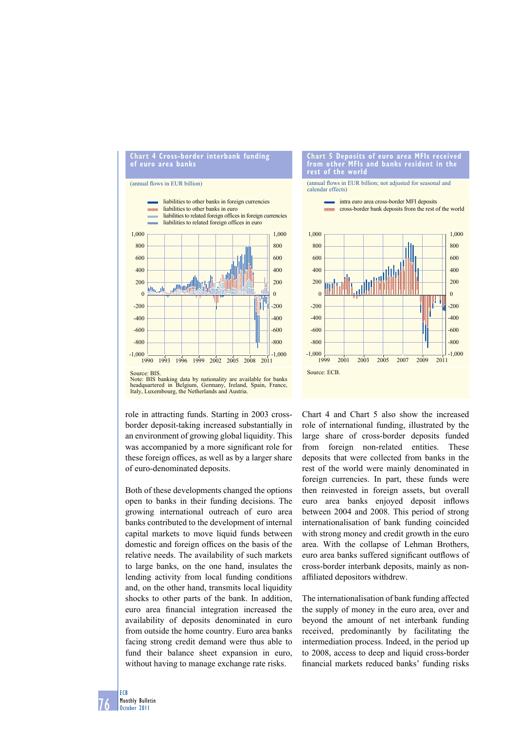#### **chart 4 cross-border interbank funding of euro area banks**

#### (annual flows in EUR billion)



Note: BIS banking data by nationality are available for banks headquartered in Belgium, Germany, Ireland, Spain, France, Italy, Luxembourg, the Netherlands and Austria.

role in attracting funds. Starting in 2003 crossborder deposit-taking increased substantially in an environment of growing global liquidity. This was accompanied by a more significant role for these foreign offices, as well as by a larger share of euro-denominated deposits.

Both of these developments changed the options open to banks in their funding decisions. The growing international outreach of euro area banks contributed to the development of internal capital markets to move liquid funds between domestic and foreign offices on the basis of the relative needs. The availability of such markets to large banks, on the one hand, insulates the lending activity from local funding conditions and, on the other hand, transmits local liquidity shocks to other parts of the bank. In addition, euro area financial integration increased the availability of deposits denominated in euro from outside the home country. Euro area banks facing strong credit demand were thus able to fund their balance sheet expansion in euro, without having to manage exchange rate risks.

#### **chart 5 deposits of euro area mFis received from other mFis and banks resident in the rest of the world**

(annual flows in EUR billion; not adjusted for seasonal and calendar effects)

> intra euro area cross-border MFI deposits cross-border bank deposits from the rest of the world



Chart 4 and Chart 5 also show the increased role of international funding, illustrated by the large share of cross-border deposits funded from foreign non-related entities. These deposits that were collected from banks in the rest of the world were mainly denominated in foreign currencies. In part, these funds were then reinvested in foreign assets, but overall euro area banks enjoyed deposit inflows between 2004 and 2008. This period of strong internationalisation of bank funding coincided with strong money and credit growth in the euro area. With the collapse of Lehman Brothers, euro area banks suffered significant outflows of cross-border interbank deposits, mainly as nonaffiliated depositors withdrew.

The internationalisation of bank funding affected the supply of money in the euro area, over and beyond the amount of net interbank funding received, predominantly by facilitating the intermediation process. Indeed, in the period up to 2008, access to deep and liquid cross-border financial markets reduced banks' funding risks

76 ECB Monthly Bulletin October 2011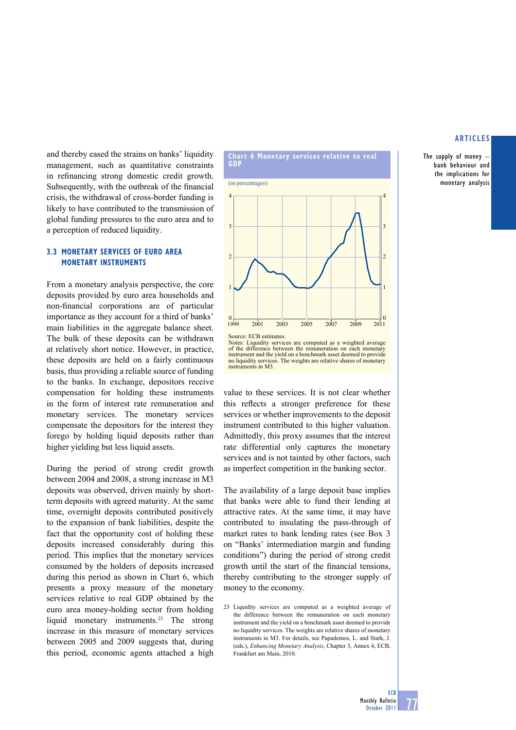The supply of money – bank behaviour and the implications for monetary analysis

and thereby eased the strains on banks' liquidity management, such as quantitative constraints in refinancing strong domestic credit growth. Subsequently, with the outbreak of the financial crisis, the withdrawal of cross-border funding is likely to have contributed to the transmission of global funding pressures to the euro area and to a perception of reduced liquidity.

# **3.3 monetary serVices oF euro area monetary instruments**

From a monetary analysis perspective, the core deposits provided by euro area households and non-financial corporations are of particular importance as they account for a third of banks' main liabilities in the aggregate balance sheet. The bulk of these deposits can be withdrawn at relatively short notice. however, in practice, these deposits are held on a fairly continuous basis, thus providing a reliable source of funding to the banks. In exchange, depositors receive compensation for holding these instruments in the form of interest rate remuneration and monetary services. The monetary services compensate the depositors for the interest they forego by holding liquid deposits rather than higher yielding but less liquid assets.

During the period of strong credit growth between 2004 and 2008, a strong increase in M3 deposits was observed, driven mainly by shortterm deposits with agreed maturity. At the same time, overnight deposits contributed positively to the expansion of bank liabilities, despite the fact that the opportunity cost of holding these deposits increased considerably during this period. This implies that the monetary services consumed by the holders of deposits increased during this period as shown in Chart 6, which presents a proxy measure of the monetary services relative to real GDP obtained by the euro area money-holding sector from holding liquid monetary instruments.23 The strong increase in this measure of monetary services between 2005 and 2009 suggests that, during this period, economic agents attached a high



Notes: Liquidity services are computed as a weighted average of the difference between the remuneration on each monetary instrument and the yield on a benchmark asset deemed to provide no liquidity services. The weights are relative shares of monetary instruments in M3.

value to these services. It is not clear whether this reflects a stronger preference for these services or whether improvements to the deposit instrument contributed to this higher valuation. Admittedly, this proxy assumes that the interest rate differential only captures the monetary services and is not tainted by other factors, such as imperfect competition in the banking sector.

The availability of a large deposit base implies that banks were able to fund their lending at attractive rates. At the same time, it may have contributed to insulating the pass-through of market rates to bank lending rates (see Box 3 on "Banks' intermediation margin and funding conditions") during the period of strong credit growth until the start of the financial tensions, thereby contributing to the stronger supply of money to the economy.

23 Liquidity services are computed as a weighted average of the difference between the remuneration on each monetary instrument and the yield on a benchmark asset deemed to provide no liquidity services. The weights are relative shares of monetary instruments in M3. For details, see Papademos, L. and Stark, J. (eds.), *Enhancing Monetary Analysis*, Chapter 3, Annex 4, ECB, Frankfurt am Main, 2010.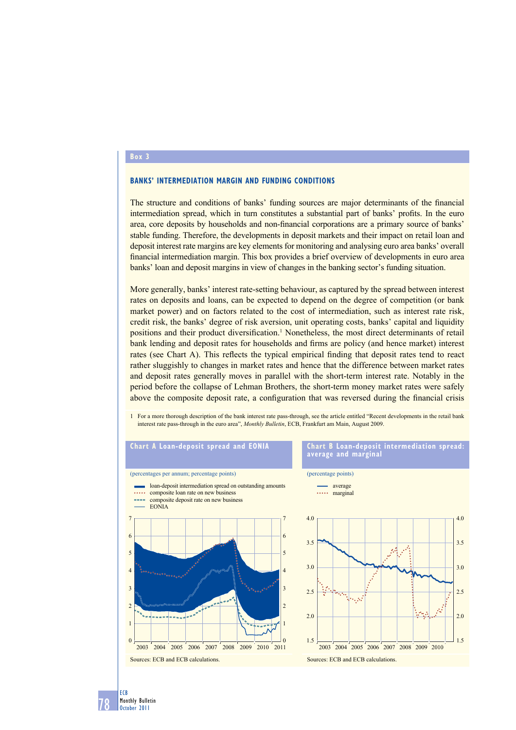## **box 3**

## **banKs' intermediation marGin and FundinG conditions**

The structure and conditions of banks' funding sources are major determinants of the financial intermediation spread, which in turn constitutes a substantial part of banks' profits. In the euro area, core deposits by households and non-financial corporations are a primary source of banks' stable funding. Therefore, the developments in deposit markets and their impact on retail loan and deposit interest rate margins are key elements for monitoring and analysing euro area banks' overall financial intermediation margin. This box provides a brief overview of developments in euro area banks' loan and deposit margins in view of changes in the banking sector's funding situation.

More generally, banks' interest rate-setting behaviour, as captured by the spread between interest rates on deposits and loans, can be expected to depend on the degree of competition (or bank market power) and on factors related to the cost of intermediation, such as interest rate risk, credit risk, the banks' degree of risk aversion, unit operating costs, banks' capital and liquidity positions and their product diversification.<sup>1</sup> Nonetheless, the most direct determinants of retail bank lending and deposit rates for households and firms are policy (and hence market) interest rates (see Chart A). This reflects the typical empirical finding that deposit rates tend to react rather sluggishly to changes in market rates and hence that the difference between market rates and deposit rates generally moves in parallel with the short-term interest rate. Notably in the period before the collapse of Lehman Brothers, the short-term money market rates were safely above the composite deposit rate, a configuration that was reversed during the financial crisis

1 For a more thorough description of the bank interest rate pass-through, see the article entitled "Recent developments in the retail bank interest rate pass-through in the euro area", *Monthly Bulletin*, ECB, Frankfurt am Main, August 2009.

![](_page_15_Figure_5.jpeg)

78 ECB Monthly Bulletin October 2011